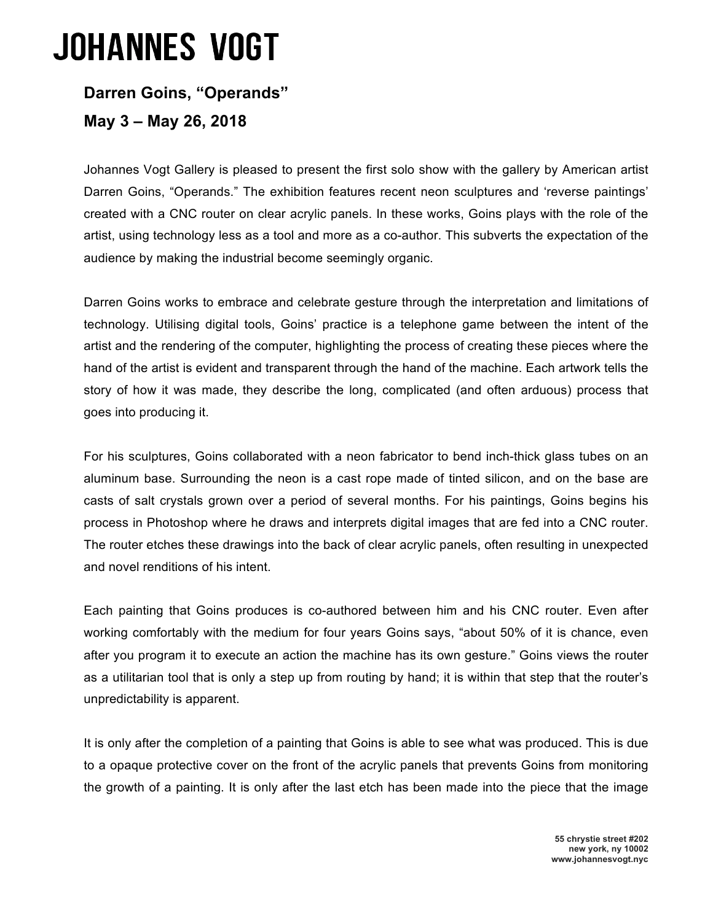## **JOHANNES VOGT**

## **Darren Goins, "Operands"**

**May 3 – May 26, 2018**

Johannes Vogt Gallery is pleased to present the first solo show with the gallery by American artist Darren Goins, "Operands." The exhibition features recent neon sculptures and 'reverse paintings' created with a CNC router on clear acrylic panels. In these works, Goins plays with the role of the artist, using technology less as a tool and more as a co-author. This subverts the expectation of the audience by making the industrial become seemingly organic.

Darren Goins works to embrace and celebrate gesture through the interpretation and limitations of technology. Utilising digital tools, Goins' practice is a telephone game between the intent of the artist and the rendering of the computer, highlighting the process of creating these pieces where the hand of the artist is evident and transparent through the hand of the machine. Each artwork tells the story of how it was made, they describe the long, complicated (and often arduous) process that goes into producing it.

For his sculptures, Goins collaborated with a neon fabricator to bend inch-thick glass tubes on an aluminum base. Surrounding the neon is a cast rope made of tinted silicon, and on the base are casts of salt crystals grown over a period of several months. For his paintings, Goins begins his process in Photoshop where he draws and interprets digital images that are fed into a CNC router. The router etches these drawings into the back of clear acrylic panels, often resulting in unexpected and novel renditions of his intent.

Each painting that Goins produces is co-authored between him and his CNC router. Even after working comfortably with the medium for four years Goins says, "about 50% of it is chance, even after you program it to execute an action the machine has its own gesture." Goins views the router as a utilitarian tool that is only a step up from routing by hand; it is within that step that the router's unpredictability is apparent.

It is only after the completion of a painting that Goins is able to see what was produced. This is due to a opaque protective cover on the front of the acrylic panels that prevents Goins from monitoring the growth of a painting. It is only after the last etch has been made into the piece that the image